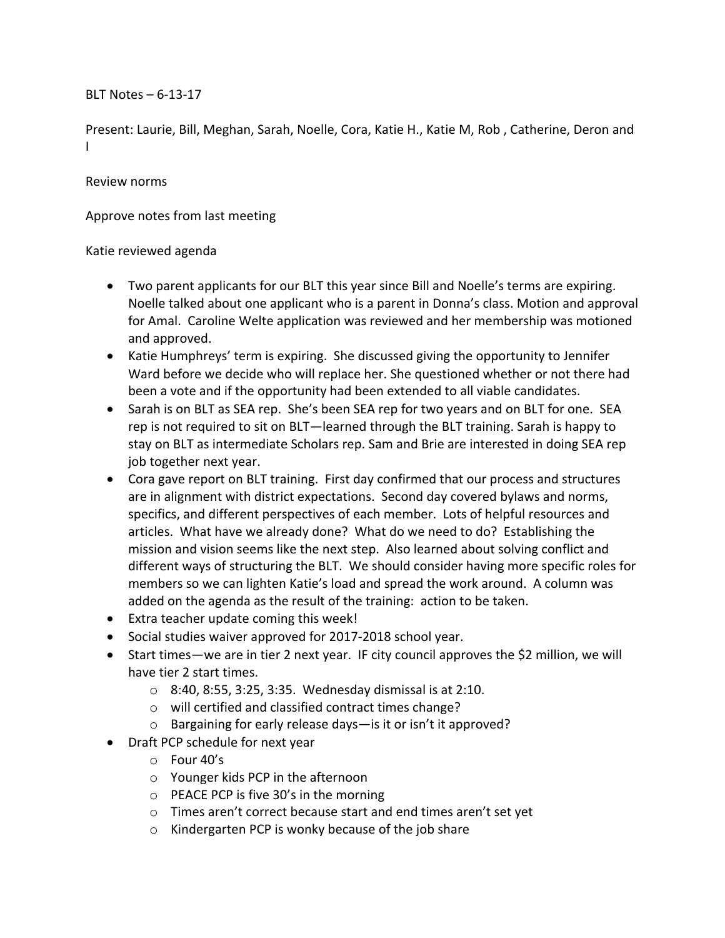BLT Notes  $-6-13-17$ 

Present: Laurie, Bill, Meghan, Sarah, Noelle, Cora, Katie H., Katie M, Rob, Catherine, Deron and I

## Review norms

Approve notes from last meeting

## Katie reviewed agenda

- Two parent applicants for our BLT this year since Bill and Noelle's terms are expiring. Noelle talked about one applicant who is a parent in Donna's class. Motion and approval for Amal. Caroline Welte application was reviewed and her membership was motioned and approved.
- Katie Humphreys' term is expiring. She discussed giving the opportunity to Jennifer Ward before we decide who will replace her. She questioned whether or not there had been a vote and if the opportunity had been extended to all viable candidates.
- Sarah is on BLT as SEA rep. She's been SEA rep for two years and on BLT for one. SEA rep is not required to sit on BLT—learned through the BLT training. Sarah is happy to stay on BLT as intermediate Scholars rep. Sam and Brie are interested in doing SEA rep job together next year.
- Cora gave report on BLT training. First day confirmed that our process and structures are in alignment with district expectations. Second day covered bylaws and norms, specifics, and different perspectives of each member. Lots of helpful resources and articles. What have we already done? What do we need to do? Establishing the mission and vision seems like the next step. Also learned about solving conflict and different ways of structuring the BLT. We should consider having more specific roles for members so we can lighten Katie's load and spread the work around. A column was added on the agenda as the result of the training: action to be taken.
- Extra teacher update coming this week!
- Social studies waiver approved for 2017-2018 school year.
- Start times—we are in tier 2 next year. IF city council approves the \$2 million, we will have tier 2 start times.
	- $\circ$  8:40, 8:55, 3:25, 3:35. Wednesday dismissal is at 2:10.
	- o will certified and classified contract times change?
	- $\circ$  Bargaining for early release days—is it or isn't it approved?
- Draft PCP schedule for next year
	- $\circ$  Four 40's
	- $\circ$  Younger kids PCP in the afternoon
	- $\circ$  PEACE PCP is five 30's in the morning
	- $\circ$  Times aren't correct because start and end times aren't set yet
	- $\circ$  Kindergarten PCP is wonky because of the job share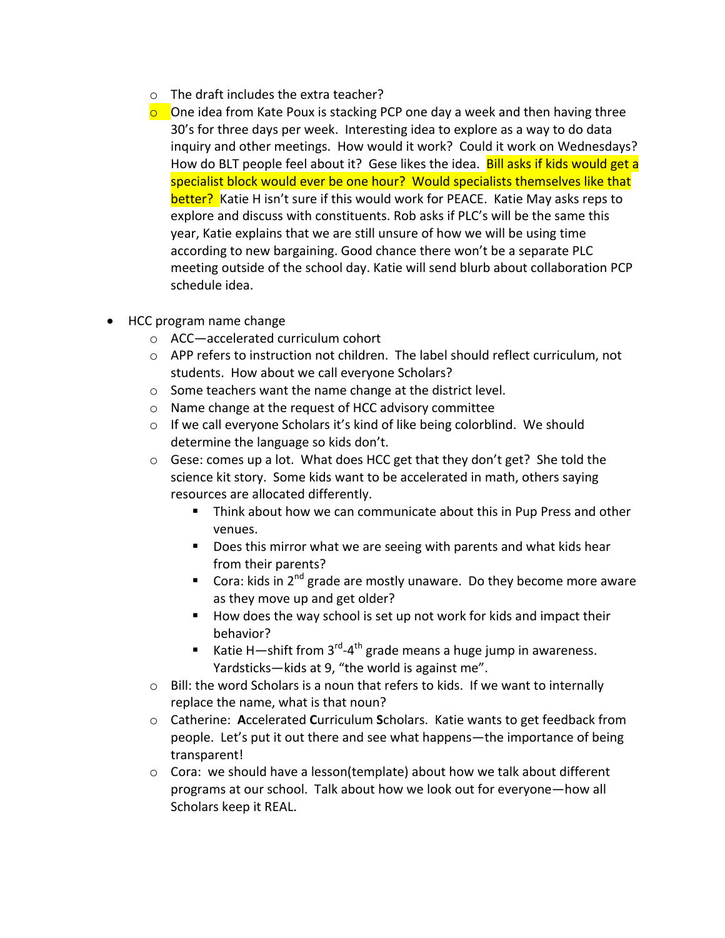- $\circ$  The draft includes the extra teacher?
- $\circ$  One idea from Kate Poux is stacking PCP one day a week and then having three 30's for three days per week. Interesting idea to explore as a way to do data inquiry and other meetings. How would it work? Could it work on Wednesdays? How do BLT people feel about it? Gese likes the idea. **Bill asks if kids would get a** specialist block would ever be one hour? Would specialists themselves like that better? Katie H isn't sure if this would work for PEACE. Katie May asks reps to explore and discuss with constituents. Rob asks if PLC's will be the same this year, Katie explains that we are still unsure of how we will be using time according to new bargaining. Good chance there won't be a separate PLC meeting outside of the school day. Katie will send blurb about collaboration PCP schedule idea.
- HCC program name change
	- $\circ$  ACC—accelerated curriculum cohort
	- $\circ$  APP refers to instruction not children. The label should reflect curriculum, not students. How about we call everyone Scholars?
	- $\circ$  Some teachers want the name change at the district level.
	- $\circ$  Name change at the request of HCC advisory committee
	- $\circ$  If we call everyone Scholars it's kind of like being colorblind. We should determine the language so kids don't.
	- $\circ$  Gese: comes up a lot. What does HCC get that they don't get? She told the science kit story. Some kids want to be accelerated in math, others saying resources are allocated differently.
		- Think about how we can communicate about this in Pup Press and other venues.
		- Does this mirror what we are seeing with parents and what kids hear from their parents?
		- **E** Cora: kids in 2<sup>nd</sup> grade are mostly unaware. Do they become more aware as they move up and get older?
		- How does the way school is set up not work for kids and impact their behavior?
		- Katie H—shift from  $3<sup>rd</sup> 4<sup>th</sup>$  grade means a huge jump in awareness. Yardsticks-kids at 9, "the world is against me".
	- $\circ$  Bill: the word Scholars is a noun that refers to kids. If we want to internally replace the name, what is that noun?
	- $\circ$  Catherine: Accelerated Curriculum Scholars. Katie wants to get feedback from people. Let's put it out there and see what happens—the importance of being transparent!
	- $\circ$  Cora: we should have a lesson(template) about how we talk about different programs at our school. Talk about how we look out for everyone—how all Scholars keep it REAL.